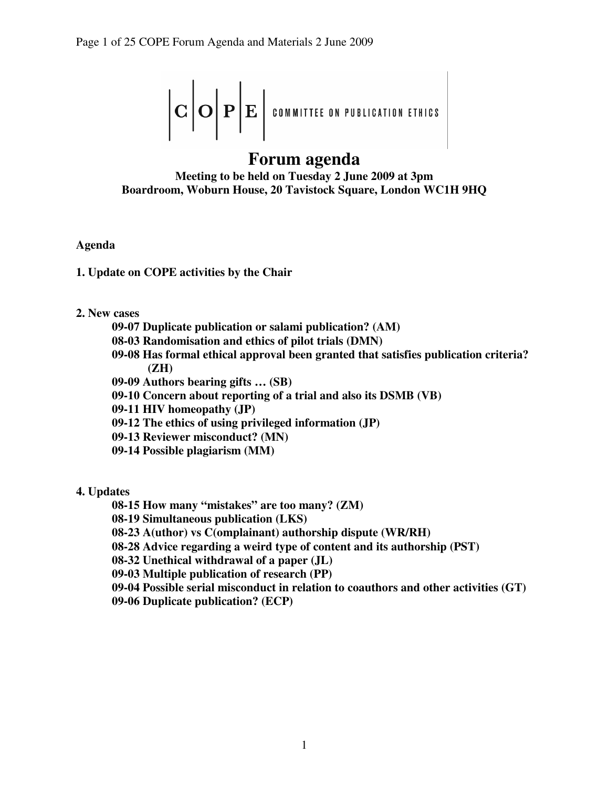$$
\left|\mathbf{C}\left|\mathbf{O}\right|\mathbf{P}\right|\mathbf{E}\left|\text{commitite on publication eifinics}\right.
$$

# **Forum agenda Meeting to be held on Tuesday 2 June 2009 at 3pm Boardroom, Woburn House, 20 Tavistock Square, London WC1H 9HQ**

**Agenda** 

- **1. Update on COPE activities by the Chair**
- **2. New cases** 
	- **09-07 Duplicate publication or salami publication? (AM)**
	- **08-03 Randomisation and ethics of pilot trials (DMN)**
	- **09-08 Has formal ethical approval been granted that satisfies publication criteria? (ZH)**
	- **09-09 Authors bearing gifts … (SB)**
	- **09-10 Concern about reporting of a trial and also its DSMB (VB)**
	- **09-11 HIV homeopathy (JP)**
	- **09-12 The ethics of using privileged information (JP)**
	- **09-13 Reviewer misconduct? (MN)**
	- **09-14 Possible plagiarism (MM)**
- **4. Updates** 
	- **08-15 How many "mistakes" are too many? (ZM)**
	- **08-19 Simultaneous publication (LKS)**
	- **08-23 A(uthor) vs C(omplainant) authorship dispute (WR/RH)**
	- **08-28 Advice regarding a weird type of content and its authorship (PST)**
	- **08-32 Unethical withdrawal of a paper (JL)**
	- **09-03 Multiple publication of research (PP)**
	- **09-04 Possible serial misconduct in relation to coauthors and other activities (GT)**
	- **09-06 Duplicate publication? (ECP)**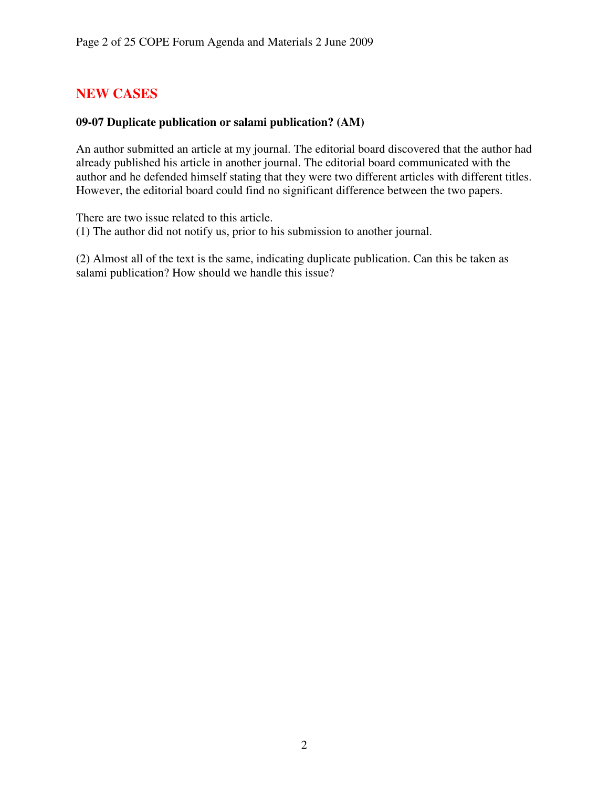# **NEW CASES**

### **09-07 Duplicate publication or salami publication? (AM)**

An author submitted an article at my journal. The editorial board discovered that the author had already published his article in another journal. The editorial board communicated with the author and he defended himself stating that they were two different articles with different titles. However, the editorial board could find no significant difference between the two papers.

There are two issue related to this article.

(1) The author did not notify us, prior to his submission to another journal.

(2) Almost all of the text is the same, indicating duplicate publication. Can this be taken as salami publication? How should we handle this issue?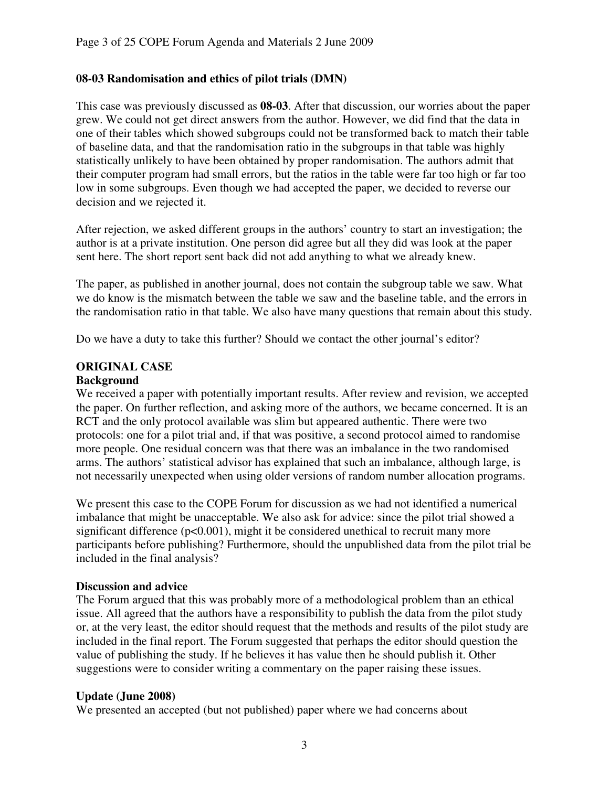# **08-03 Randomisation and ethics of pilot trials (DMN)**

This case was previously discussed as **08-03**. After that discussion, our worries about the paper grew. We could not get direct answers from the author. However, we did find that the data in one of their tables which showed subgroups could not be transformed back to match their table of baseline data, and that the randomisation ratio in the subgroups in that table was highly statistically unlikely to have been obtained by proper randomisation. The authors admit that their computer program had small errors, but the ratios in the table were far too high or far too low in some subgroups. Even though we had accepted the paper, we decided to reverse our decision and we rejected it.

After rejection, we asked different groups in the authors' country to start an investigation; the author is at a private institution. One person did agree but all they did was look at the paper sent here. The short report sent back did not add anything to what we already knew.

The paper, as published in another journal, does not contain the subgroup table we saw. What we do know is the mismatch between the table we saw and the baseline table, and the errors in the randomisation ratio in that table. We also have many questions that remain about this study.

Do we have a duty to take this further? Should we contact the other journal's editor?

# **ORIGINAL CASE**

### **Background**

We received a paper with potentially important results. After review and revision, we accepted the paper. On further reflection, and asking more of the authors, we became concerned. It is an RCT and the only protocol available was slim but appeared authentic. There were two protocols: one for a pilot trial and, if that was positive, a second protocol aimed to randomise more people. One residual concern was that there was an imbalance in the two randomised arms. The authors' statistical advisor has explained that such an imbalance, although large, is not necessarily unexpected when using older versions of random number allocation programs.

We present this case to the COPE Forum for discussion as we had not identified a numerical imbalance that might be unacceptable. We also ask for advice: since the pilot trial showed a significant difference  $(p<0.001)$ , might it be considered unethical to recruit many more participants before publishing? Furthermore, should the unpublished data from the pilot trial be included in the final analysis?

### **Discussion and advice**

The Forum argued that this was probably more of a methodological problem than an ethical issue. All agreed that the authors have a responsibility to publish the data from the pilot study or, at the very least, the editor should request that the methods and results of the pilot study are included in the final report. The Forum suggested that perhaps the editor should question the value of publishing the study. If he believes it has value then he should publish it. Other suggestions were to consider writing a commentary on the paper raising these issues.

### **Update (June 2008)**

We presented an accepted (but not published) paper where we had concerns about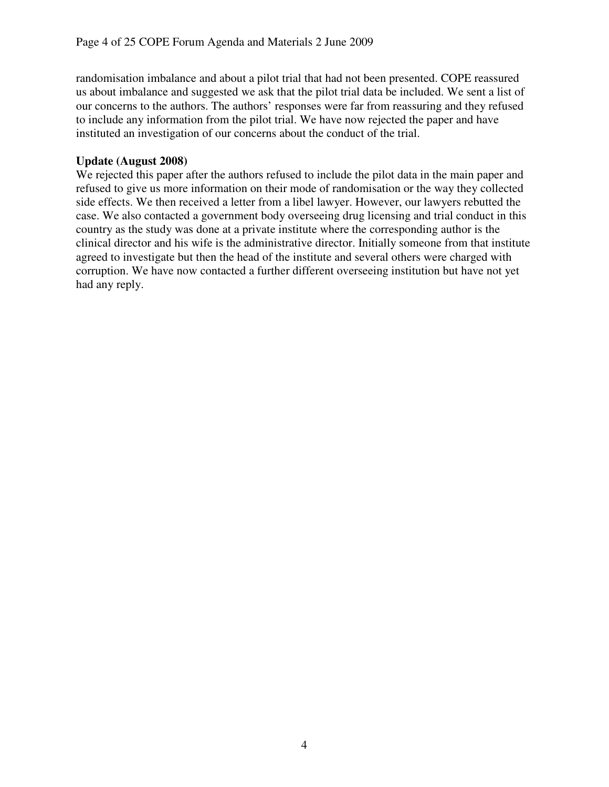randomisation imbalance and about a pilot trial that had not been presented. COPE reassured us about imbalance and suggested we ask that the pilot trial data be included. We sent a list of our concerns to the authors. The authors' responses were far from reassuring and they refused to include any information from the pilot trial. We have now rejected the paper and have instituted an investigation of our concerns about the conduct of the trial.

### **Update (August 2008)**

We rejected this paper after the authors refused to include the pilot data in the main paper and refused to give us more information on their mode of randomisation or the way they collected side effects. We then received a letter from a libel lawyer. However, our lawyers rebutted the case. We also contacted a government body overseeing drug licensing and trial conduct in this country as the study was done at a private institute where the corresponding author is the clinical director and his wife is the administrative director. Initially someone from that institute agreed to investigate but then the head of the institute and several others were charged with corruption. We have now contacted a further different overseeing institution but have not yet had any reply.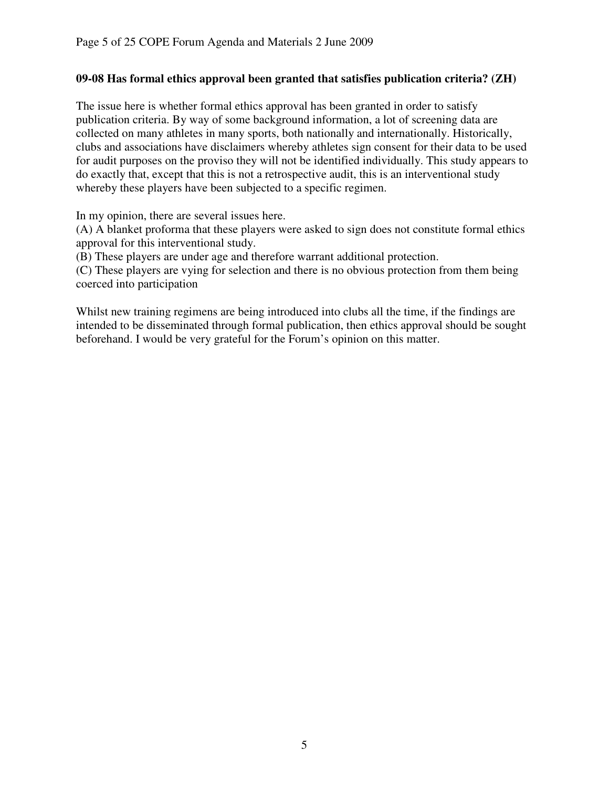## **09-08 Has formal ethics approval been granted that satisfies publication criteria? (ZH)**

The issue here is whether formal ethics approval has been granted in order to satisfy publication criteria. By way of some background information, a lot of screening data are collected on many athletes in many sports, both nationally and internationally. Historically, clubs and associations have disclaimers whereby athletes sign consent for their data to be used for audit purposes on the proviso they will not be identified individually. This study appears to do exactly that, except that this is not a retrospective audit, this is an interventional study whereby these players have been subjected to a specific regimen.

In my opinion, there are several issues here.

(A) A blanket proforma that these players were asked to sign does not constitute formal ethics approval for this interventional study.

(B) These players are under age and therefore warrant additional protection.

(C) These players are vying for selection and there is no obvious protection from them being coerced into participation

Whilst new training regimens are being introduced into clubs all the time, if the findings are intended to be disseminated through formal publication, then ethics approval should be sought beforehand. I would be very grateful for the Forum's opinion on this matter.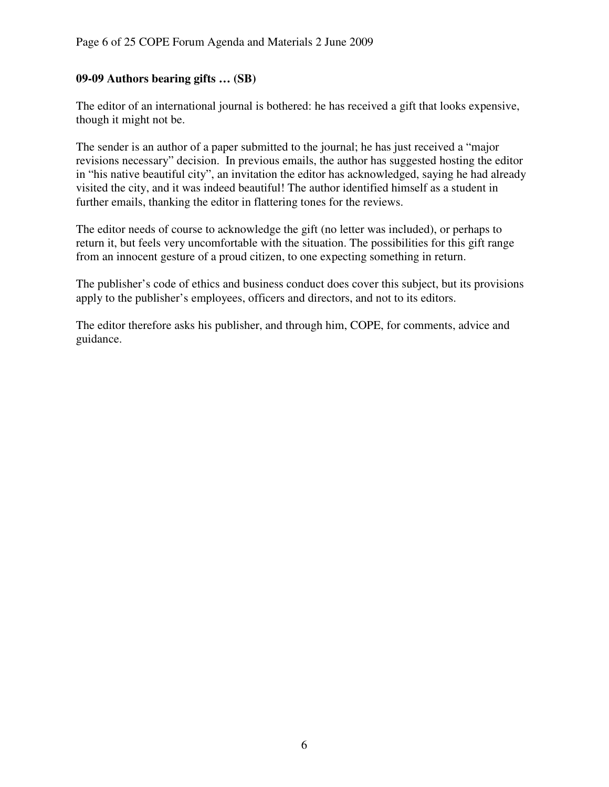### **09-09 Authors bearing gifts … (SB)**

The editor of an international journal is bothered: he has received a gift that looks expensive, though it might not be.

The sender is an author of a paper submitted to the journal; he has just received a "major revisions necessary" decision. In previous emails, the author has suggested hosting the editor in "his native beautiful city", an invitation the editor has acknowledged, saying he had already visited the city, and it was indeed beautiful! The author identified himself as a student in further emails, thanking the editor in flattering tones for the reviews.

The editor needs of course to acknowledge the gift (no letter was included), or perhaps to return it, but feels very uncomfortable with the situation. The possibilities for this gift range from an innocent gesture of a proud citizen, to one expecting something in return.

The publisher's code of ethics and business conduct does cover this subject, but its provisions apply to the publisher's employees, officers and directors, and not to its editors.

The editor therefore asks his publisher, and through him, COPE, for comments, advice and guidance.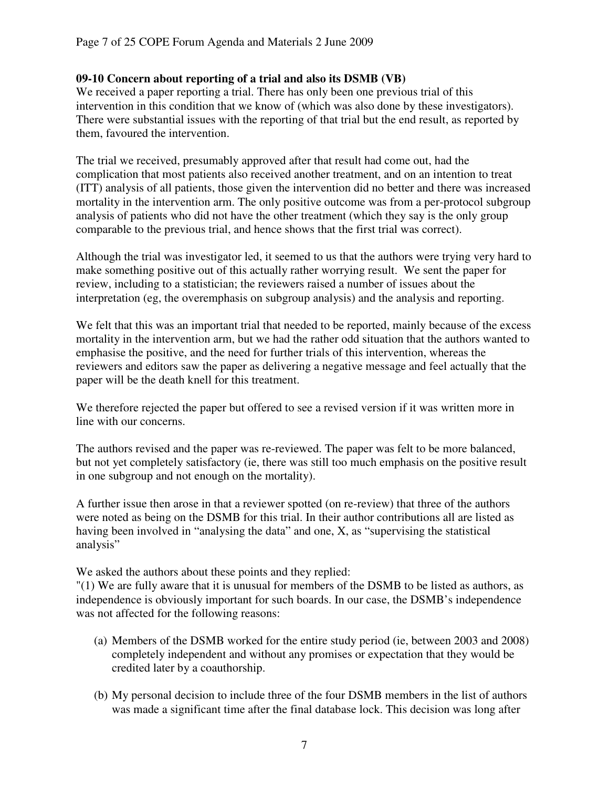### **09-10 Concern about reporting of a trial and also its DSMB (VB)**

We received a paper reporting a trial. There has only been one previous trial of this intervention in this condition that we know of (which was also done by these investigators). There were substantial issues with the reporting of that trial but the end result, as reported by them, favoured the intervention.

The trial we received, presumably approved after that result had come out, had the complication that most patients also received another treatment, and on an intention to treat (ITT) analysis of all patients, those given the intervention did no better and there was increased mortality in the intervention arm. The only positive outcome was from a per-protocol subgroup analysis of patients who did not have the other treatment (which they say is the only group comparable to the previous trial, and hence shows that the first trial was correct).

Although the trial was investigator led, it seemed to us that the authors were trying very hard to make something positive out of this actually rather worrying result. We sent the paper for review, including to a statistician; the reviewers raised a number of issues about the interpretation (eg, the overemphasis on subgroup analysis) and the analysis and reporting.

We felt that this was an important trial that needed to be reported, mainly because of the excess mortality in the intervention arm, but we had the rather odd situation that the authors wanted to emphasise the positive, and the need for further trials of this intervention, whereas the reviewers and editors saw the paper as delivering a negative message and feel actually that the paper will be the death knell for this treatment.

We therefore rejected the paper but offered to see a revised version if it was written more in line with our concerns.

The authors revised and the paper was re-reviewed. The paper was felt to be more balanced, but not yet completely satisfactory (ie, there was still too much emphasis on the positive result in one subgroup and not enough on the mortality).

A further issue then arose in that a reviewer spotted (on re-review) that three of the authors were noted as being on the DSMB for this trial. In their author contributions all are listed as having been involved in "analysing the data" and one, X, as "supervising the statistical analysis"

We asked the authors about these points and they replied:

"(1) We are fully aware that it is unusual for members of the DSMB to be listed as authors, as independence is obviously important for such boards. In our case, the DSMB's independence was not affected for the following reasons:

- (a) Members of the DSMB worked for the entire study period (ie, between 2003 and 2008) completely independent and without any promises or expectation that they would be credited later by a coauthorship.
- (b) My personal decision to include three of the four DSMB members in the list of authors was made a significant time after the final database lock. This decision was long after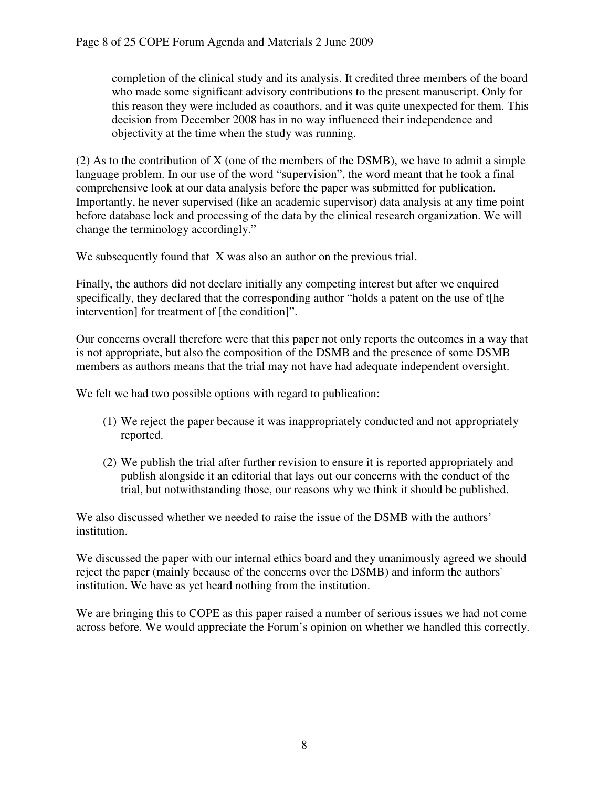completion of the clinical study and its analysis. It credited three members of the board who made some significant advisory contributions to the present manuscript. Only for this reason they were included as coauthors, and it was quite unexpected for them. This decision from December 2008 has in no way influenced their independence and objectivity at the time when the study was running.

(2) As to the contribution of X (one of the members of the DSMB), we have to admit a simple language problem. In our use of the word "supervision", the word meant that he took a final comprehensive look at our data analysis before the paper was submitted for publication. Importantly, he never supervised (like an academic supervisor) data analysis at any time point before database lock and processing of the data by the clinical research organization. We will change the terminology accordingly."

We subsequently found that X was also an author on the previous trial.

Finally, the authors did not declare initially any competing interest but after we enquired specifically, they declared that the corresponding author "holds a patent on the use of t[he intervention] for treatment of [the condition]".

Our concerns overall therefore were that this paper not only reports the outcomes in a way that is not appropriate, but also the composition of the DSMB and the presence of some DSMB members as authors means that the trial may not have had adequate independent oversight.

We felt we had two possible options with regard to publication:

- (1) We reject the paper because it was inappropriately conducted and not appropriately reported.
- (2) We publish the trial after further revision to ensure it is reported appropriately and publish alongside it an editorial that lays out our concerns with the conduct of the trial, but notwithstanding those, our reasons why we think it should be published.

We also discussed whether we needed to raise the issue of the DSMB with the authors' institution.

We discussed the paper with our internal ethics board and they unanimously agreed we should reject the paper (mainly because of the concerns over the DSMB) and inform the authors' institution. We have as yet heard nothing from the institution.

We are bringing this to COPE as this paper raised a number of serious issues we had not come across before. We would appreciate the Forum's opinion on whether we handled this correctly.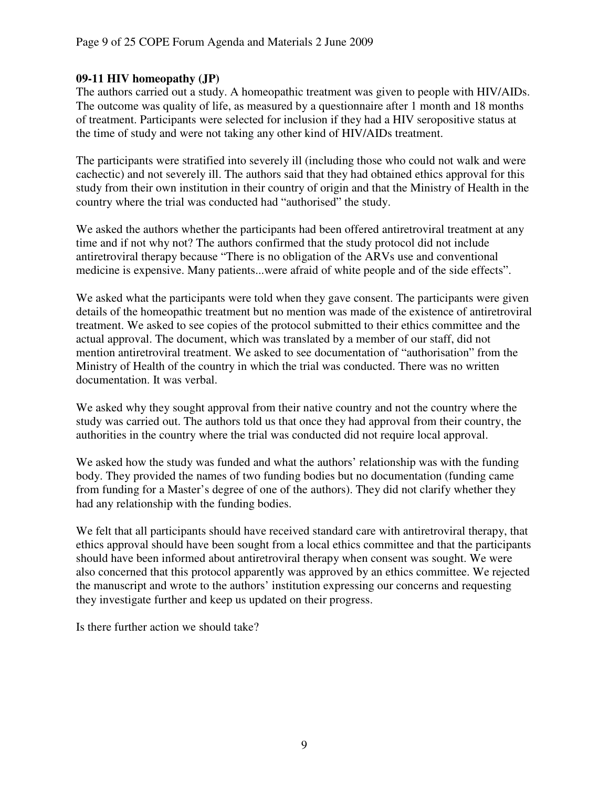### **09-11 HIV homeopathy (JP)**

The authors carried out a study. A homeopathic treatment was given to people with HIV/AIDs. The outcome was quality of life, as measured by a questionnaire after 1 month and 18 months of treatment. Participants were selected for inclusion if they had a HIV seropositive status at the time of study and were not taking any other kind of HIV/AIDs treatment.

The participants were stratified into severely ill (including those who could not walk and were cachectic) and not severely ill. The authors said that they had obtained ethics approval for this study from their own institution in their country of origin and that the Ministry of Health in the country where the trial was conducted had "authorised" the study.

We asked the authors whether the participants had been offered antiretroviral treatment at any time and if not why not? The authors confirmed that the study protocol did not include antiretroviral therapy because "There is no obligation of the ARVs use and conventional medicine is expensive. Many patients...were afraid of white people and of the side effects".

We asked what the participants were told when they gave consent. The participants were given details of the homeopathic treatment but no mention was made of the existence of antiretroviral treatment. We asked to see copies of the protocol submitted to their ethics committee and the actual approval. The document, which was translated by a member of our staff, did not mention antiretroviral treatment. We asked to see documentation of "authorisation" from the Ministry of Health of the country in which the trial was conducted. There was no written documentation. It was verbal.

We asked why they sought approval from their native country and not the country where the study was carried out. The authors told us that once they had approval from their country, the authorities in the country where the trial was conducted did not require local approval.

We asked how the study was funded and what the authors' relationship was with the funding body. They provided the names of two funding bodies but no documentation (funding came from funding for a Master's degree of one of the authors). They did not clarify whether they had any relationship with the funding bodies.

We felt that all participants should have received standard care with antiretroviral therapy, that ethics approval should have been sought from a local ethics committee and that the participants should have been informed about antiretroviral therapy when consent was sought. We were also concerned that this protocol apparently was approved by an ethics committee. We rejected the manuscript and wrote to the authors' institution expressing our concerns and requesting they investigate further and keep us updated on their progress.

Is there further action we should take?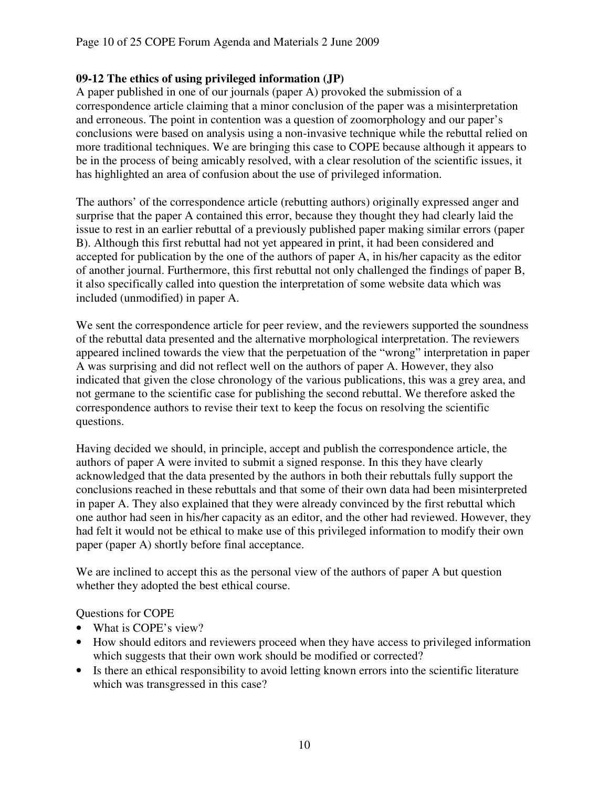### **09-12 The ethics of using privileged information (JP)**

A paper published in one of our journals (paper A) provoked the submission of a correspondence article claiming that a minor conclusion of the paper was a misinterpretation and erroneous. The point in contention was a question of zoomorphology and our paper's conclusions were based on analysis using a non-invasive technique while the rebuttal relied on more traditional techniques. We are bringing this case to COPE because although it appears to be in the process of being amicably resolved, with a clear resolution of the scientific issues, it has highlighted an area of confusion about the use of privileged information.

The authors' of the correspondence article (rebutting authors) originally expressed anger and surprise that the paper A contained this error, because they thought they had clearly laid the issue to rest in an earlier rebuttal of a previously published paper making similar errors (paper B). Although this first rebuttal had not yet appeared in print, it had been considered and accepted for publication by the one of the authors of paper A, in his/her capacity as the editor of another journal. Furthermore, this first rebuttal not only challenged the findings of paper B, it also specifically called into question the interpretation of some website data which was included (unmodified) in paper A.

We sent the correspondence article for peer review, and the reviewers supported the soundness of the rebuttal data presented and the alternative morphological interpretation. The reviewers appeared inclined towards the view that the perpetuation of the "wrong" interpretation in paper A was surprising and did not reflect well on the authors of paper A. However, they also indicated that given the close chronology of the various publications, this was a grey area, and not germane to the scientific case for publishing the second rebuttal. We therefore asked the correspondence authors to revise their text to keep the focus on resolving the scientific questions.

Having decided we should, in principle, accept and publish the correspondence article, the authors of paper A were invited to submit a signed response. In this they have clearly acknowledged that the data presented by the authors in both their rebuttals fully support the conclusions reached in these rebuttals and that some of their own data had been misinterpreted in paper A. They also explained that they were already convinced by the first rebuttal which one author had seen in his/her capacity as an editor, and the other had reviewed. However, they had felt it would not be ethical to make use of this privileged information to modify their own paper (paper A) shortly before final acceptance.

We are inclined to accept this as the personal view of the authors of paper A but question whether they adopted the best ethical course.

### Questions for COPE

- What is COPE's view?
- How should editors and reviewers proceed when they have access to privileged information which suggests that their own work should be modified or corrected?
- Is there an ethical responsibility to avoid letting known errors into the scientific literature which was transgressed in this case?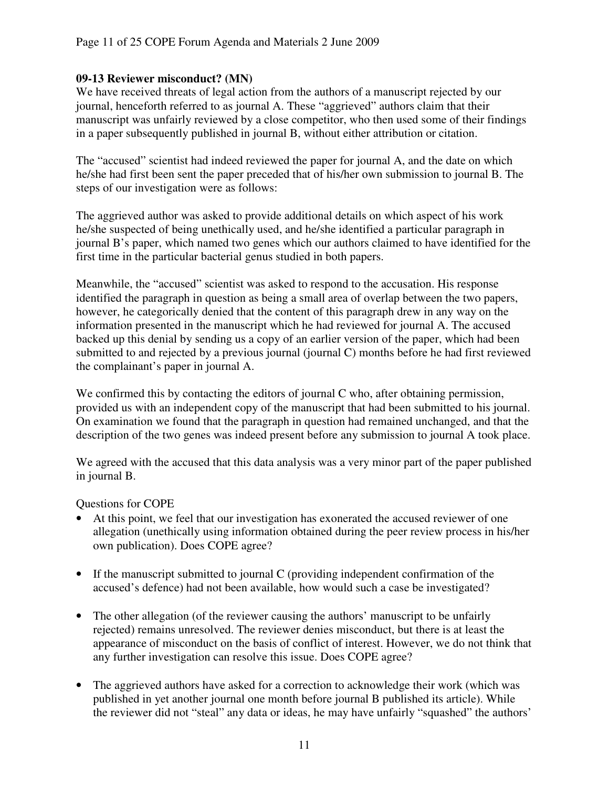### **09-13 Reviewer misconduct? (MN)**

We have received threats of legal action from the authors of a manuscript rejected by our journal, henceforth referred to as journal A. These "aggrieved" authors claim that their manuscript was unfairly reviewed by a close competitor, who then used some of their findings in a paper subsequently published in journal B, without either attribution or citation.

The "accused" scientist had indeed reviewed the paper for journal A, and the date on which he/she had first been sent the paper preceded that of his/her own submission to journal B. The steps of our investigation were as follows:

The aggrieved author was asked to provide additional details on which aspect of his work he/she suspected of being unethically used, and he/she identified a particular paragraph in journal B's paper, which named two genes which our authors claimed to have identified for the first time in the particular bacterial genus studied in both papers.

Meanwhile, the "accused" scientist was asked to respond to the accusation. His response identified the paragraph in question as being a small area of overlap between the two papers, however, he categorically denied that the content of this paragraph drew in any way on the information presented in the manuscript which he had reviewed for journal A. The accused backed up this denial by sending us a copy of an earlier version of the paper, which had been submitted to and rejected by a previous journal (journal C) months before he had first reviewed the complainant's paper in journal A.

We confirmed this by contacting the editors of journal C who, after obtaining permission, provided us with an independent copy of the manuscript that had been submitted to his journal. On examination we found that the paragraph in question had remained unchanged, and that the description of the two genes was indeed present before any submission to journal A took place.

We agreed with the accused that this data analysis was a very minor part of the paper published in journal B.

Questions for COPE

- At this point, we feel that our investigation has exonerated the accused reviewer of one allegation (unethically using information obtained during the peer review process in his/her own publication). Does COPE agree?
- If the manuscript submitted to journal C (providing independent confirmation of the accused's defence) had not been available, how would such a case be investigated?
- The other allegation (of the reviewer causing the authors' manuscript to be unfairly rejected) remains unresolved. The reviewer denies misconduct, but there is at least the appearance of misconduct on the basis of conflict of interest. However, we do not think that any further investigation can resolve this issue. Does COPE agree?
- The aggrieved authors have asked for a correction to acknowledge their work (which was published in yet another journal one month before journal B published its article). While the reviewer did not "steal" any data or ideas, he may have unfairly "squashed" the authors'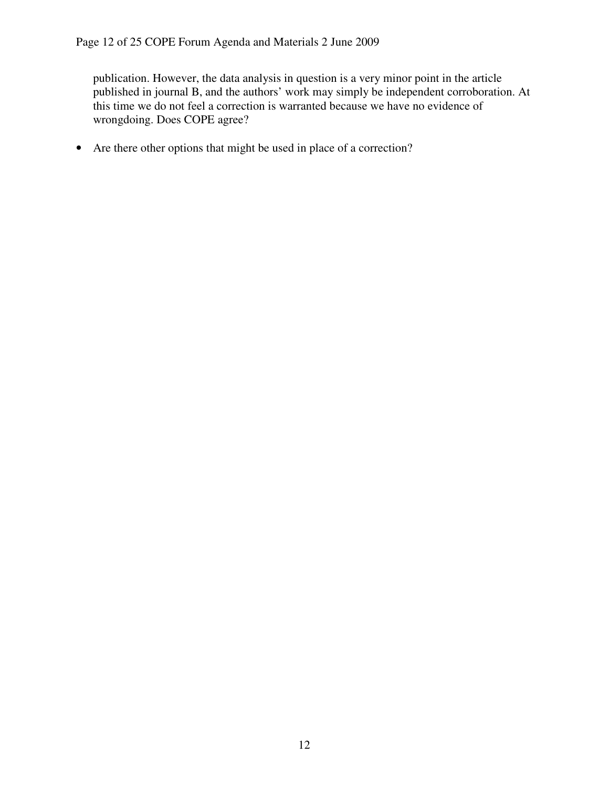publication. However, the data analysis in question is a very minor point in the article published in journal B, and the authors' work may simply be independent corroboration. At this time we do not feel a correction is warranted because we have no evidence of wrongdoing. Does COPE agree?

• Are there other options that might be used in place of a correction?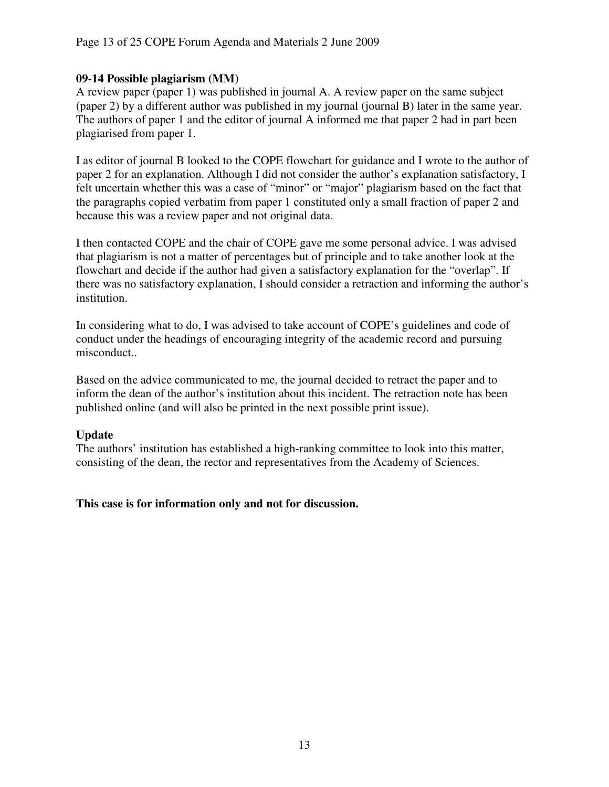### **09-14 Possible plagiarism (MM)**

A review paper (paper 1) was published in journal A. A review paper on the same subject (paper 2) by a different author was published in my journal (journal B) later in the same year. The authors of paper 1 and the editor of journal A informed me that paper 2 had in part been plagiarised from paper 1.

I as editor of journal B looked to the COPE flowchart for guidance and I wrote to the author of paper 2 for an explanation. Although I did not consider the author's explanation satisfactory, I felt uncertain whether this was a case of "minor" or "major" plagiarism based on the fact that the paragraphs copied verbatim from paper 1 constituted only a small fraction of paper 2 and because this was a review paper and not original data.

I then contacted COPE and the chair of COPE gave me some personal advice. I was advised that plagiarism is not a matter of percentages but of principle and to take another look at the flowchart and decide if the author had given a satisfactory explanation for the "overlap". If there was no satisfactory explanation, I should consider a retraction and informing the author's institution.

In considering what to do, I was advised to take account of COPE's guidelines and code of conduct under the headings of encouraging integrity of the academic record and pursuing misconduct..

Based on the advice communicated to me, the journal decided to retract the paper and to inform the dean of the author's institution about this incident. The retraction note has been published online (and will also be printed in the next possible print issue).

# **Update**

The authors' institution has established a high-ranking committee to look into this matter, consisting of the dean, the rector and representatives from the Academy of Sciences.

### **This case is for information only and not for discussion.**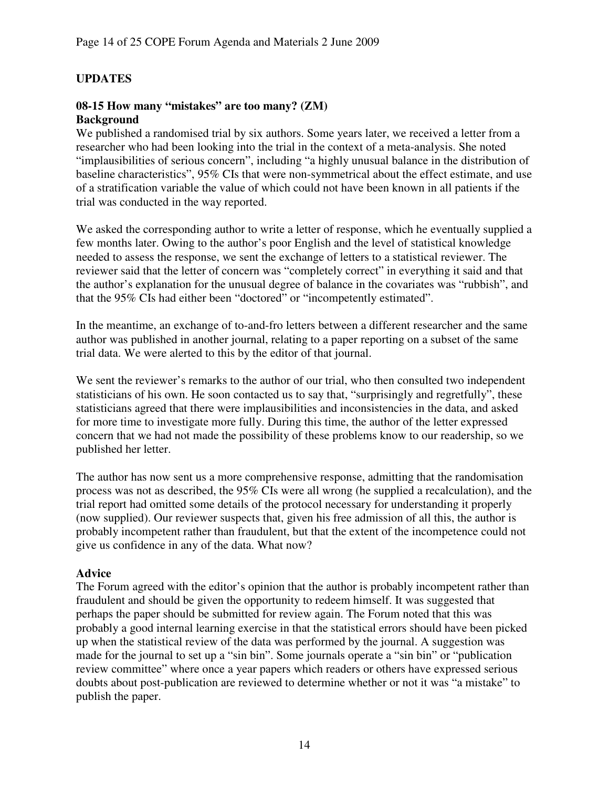# **UPDATES**

### **08-15 How many "mistakes" are too many? (ZM) Background**

We published a randomised trial by six authors. Some years later, we received a letter from a researcher who had been looking into the trial in the context of a meta-analysis. She noted "implausibilities of serious concern", including "a highly unusual balance in the distribution of baseline characteristics", 95% CIs that were non-symmetrical about the effect estimate, and use of a stratification variable the value of which could not have been known in all patients if the trial was conducted in the way reported.

We asked the corresponding author to write a letter of response, which he eventually supplied a few months later. Owing to the author's poor English and the level of statistical knowledge needed to assess the response, we sent the exchange of letters to a statistical reviewer. The reviewer said that the letter of concern was "completely correct" in everything it said and that the author's explanation for the unusual degree of balance in the covariates was "rubbish", and that the 95% CIs had either been "doctored" or "incompetently estimated".

In the meantime, an exchange of to-and-fro letters between a different researcher and the same author was published in another journal, relating to a paper reporting on a subset of the same trial data. We were alerted to this by the editor of that journal.

We sent the reviewer's remarks to the author of our trial, who then consulted two independent statisticians of his own. He soon contacted us to say that, "surprisingly and regretfully", these statisticians agreed that there were implausibilities and inconsistencies in the data, and asked for more time to investigate more fully. During this time, the author of the letter expressed concern that we had not made the possibility of these problems know to our readership, so we published her letter.

The author has now sent us a more comprehensive response, admitting that the randomisation process was not as described, the 95% CIs were all wrong (he supplied a recalculation), and the trial report had omitted some details of the protocol necessary for understanding it properly (now supplied). Our reviewer suspects that, given his free admission of all this, the author is probably incompetent rather than fraudulent, but that the extent of the incompetence could not give us confidence in any of the data. What now?

### **Advice**

The Forum agreed with the editor's opinion that the author is probably incompetent rather than fraudulent and should be given the opportunity to redeem himself. It was suggested that perhaps the paper should be submitted for review again. The Forum noted that this was probably a good internal learning exercise in that the statistical errors should have been picked up when the statistical review of the data was performed by the journal. A suggestion was made for the journal to set up a "sin bin". Some journals operate a "sin bin" or "publication review committee" where once a year papers which readers or others have expressed serious doubts about post-publication are reviewed to determine whether or not it was "a mistake" to publish the paper.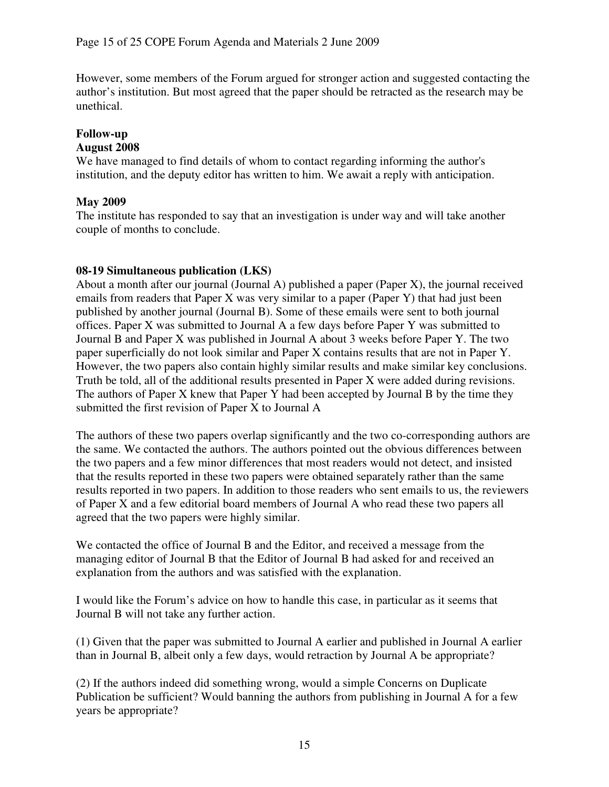However, some members of the Forum argued for stronger action and suggested contacting the author's institution. But most agreed that the paper should be retracted as the research may be unethical.

# **Follow-up**

### **August 2008**

We have managed to find details of whom to contact regarding informing the author's institution, and the deputy editor has written to him. We await a reply with anticipation.

## **May 2009**

The institute has responded to say that an investigation is under way and will take another couple of months to conclude.

### **08-19 Simultaneous publication (LKS)**

About a month after our journal (Journal A) published a paper (Paper X), the journal received emails from readers that Paper X was very similar to a paper (Paper Y) that had just been published by another journal (Journal B). Some of these emails were sent to both journal offices. Paper X was submitted to Journal A a few days before Paper Y was submitted to Journal B and Paper X was published in Journal A about 3 weeks before Paper Y. The two paper superficially do not look similar and Paper X contains results that are not in Paper Y. However, the two papers also contain highly similar results and make similar key conclusions. Truth be told, all of the additional results presented in Paper X were added during revisions. The authors of Paper X knew that Paper Y had been accepted by Journal B by the time they submitted the first revision of Paper X to Journal A

The authors of these two papers overlap significantly and the two co-corresponding authors are the same. We contacted the authors. The authors pointed out the obvious differences between the two papers and a few minor differences that most readers would not detect, and insisted that the results reported in these two papers were obtained separately rather than the same results reported in two papers. In addition to those readers who sent emails to us, the reviewers of Paper X and a few editorial board members of Journal A who read these two papers all agreed that the two papers were highly similar.

We contacted the office of Journal B and the Editor, and received a message from the managing editor of Journal B that the Editor of Journal B had asked for and received an explanation from the authors and was satisfied with the explanation.

I would like the Forum's advice on how to handle this case, in particular as it seems that Journal B will not take any further action.

(1) Given that the paper was submitted to Journal A earlier and published in Journal A earlier than in Journal B, albeit only a few days, would retraction by Journal A be appropriate?

(2) If the authors indeed did something wrong, would a simple Concerns on Duplicate Publication be sufficient? Would banning the authors from publishing in Journal A for a few years be appropriate?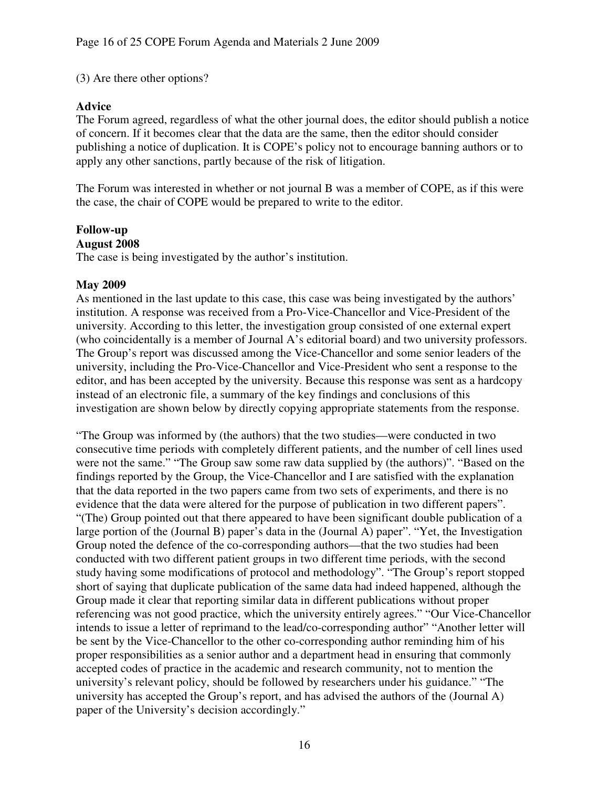### (3) Are there other options?

### **Advice**

The Forum agreed, regardless of what the other journal does, the editor should publish a notice of concern. If it becomes clear that the data are the same, then the editor should consider publishing a notice of duplication. It is COPE's policy not to encourage banning authors or to apply any other sanctions, partly because of the risk of litigation.

The Forum was interested in whether or not journal B was a member of COPE, as if this were the case, the chair of COPE would be prepared to write to the editor.

# **Follow-up**

### **August 2008**

The case is being investigated by the author's institution.

### **May 2009**

As mentioned in the last update to this case, this case was being investigated by the authors' institution. A response was received from a Pro-Vice-Chancellor and Vice-President of the university. According to this letter, the investigation group consisted of one external expert (who coincidentally is a member of Journal A's editorial board) and two university professors. The Group's report was discussed among the Vice-Chancellor and some senior leaders of the university, including the Pro-Vice-Chancellor and Vice-President who sent a response to the editor, and has been accepted by the university. Because this response was sent as a hardcopy instead of an electronic file, a summary of the key findings and conclusions of this investigation are shown below by directly copying appropriate statements from the response.

"The Group was informed by (the authors) that the two studies—were conducted in two consecutive time periods with completely different patients, and the number of cell lines used were not the same." "The Group saw some raw data supplied by (the authors)". "Based on the findings reported by the Group, the Vice-Chancellor and I are satisfied with the explanation that the data reported in the two papers came from two sets of experiments, and there is no evidence that the data were altered for the purpose of publication in two different papers". "(The) Group pointed out that there appeared to have been significant double publication of a large portion of the (Journal B) paper's data in the (Journal A) paper". "Yet, the Investigation Group noted the defence of the co-corresponding authors—that the two studies had been conducted with two different patient groups in two different time periods, with the second study having some modifications of protocol and methodology". "The Group's report stopped short of saying that duplicate publication of the same data had indeed happened, although the Group made it clear that reporting similar data in different publications without proper referencing was not good practice, which the university entirely agrees." "Our Vice-Chancellor intends to issue a letter of reprimand to the lead/co-corresponding author" "Another letter will be sent by the Vice-Chancellor to the other co-corresponding author reminding him of his proper responsibilities as a senior author and a department head in ensuring that commonly accepted codes of practice in the academic and research community, not to mention the university's relevant policy, should be followed by researchers under his guidance." "The university has accepted the Group's report, and has advised the authors of the (Journal A) paper of the University's decision accordingly."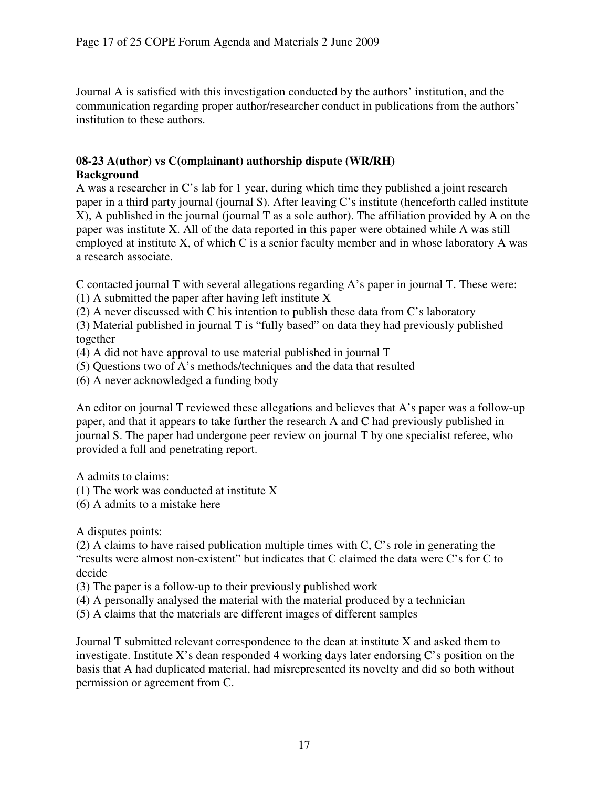Journal A is satisfied with this investigation conducted by the authors' institution, and the communication regarding proper author/researcher conduct in publications from the authors' institution to these authors.

## **08-23 A(uthor) vs C(omplainant) authorship dispute (WR/RH) Background**

A was a researcher in C's lab for 1 year, during which time they published a joint research paper in a third party journal (journal S). After leaving C's institute (henceforth called institute X), A published in the journal (journal T as a sole author). The affiliation provided by A on the paper was institute X. All of the data reported in this paper were obtained while A was still employed at institute X, of which C is a senior faculty member and in whose laboratory A was a research associate.

C contacted journal T with several allegations regarding A's paper in journal T. These were:

- (1) A submitted the paper after having left institute X
- (2) A never discussed with C his intention to publish these data from C's laboratory

(3) Material published in journal T is "fully based" on data they had previously published together

- (4) A did not have approval to use material published in journal T
- (5) Questions two of A's methods/techniques and the data that resulted
- (6) A never acknowledged a funding body

An editor on journal T reviewed these allegations and believes that A's paper was a follow-up paper, and that it appears to take further the research A and C had previously published in journal S. The paper had undergone peer review on journal T by one specialist referee, who provided a full and penetrating report.

A admits to claims:

- (1) The work was conducted at institute X
- (6) A admits to a mistake here

A disputes points:

(2) A claims to have raised publication multiple times with C, C's role in generating the "results were almost non-existent" but indicates that C claimed the data were C's for C to decide

(3) The paper is a follow-up to their previously published work

(4) A personally analysed the material with the material produced by a technician

(5) A claims that the materials are different images of different samples

Journal T submitted relevant correspondence to the dean at institute X and asked them to investigate. Institute X's dean responded 4 working days later endorsing C's position on the basis that A had duplicated material, had misrepresented its novelty and did so both without permission or agreement from C.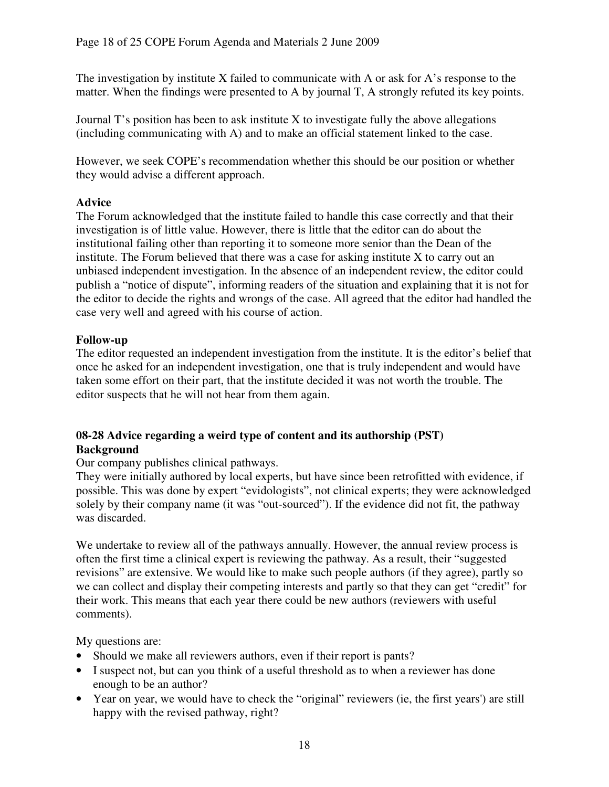The investigation by institute X failed to communicate with A or ask for A's response to the matter. When the findings were presented to A by journal T, A strongly refuted its key points.

Journal  $T$ 's position has been to ask institute X to investigate fully the above allegations (including communicating with A) and to make an official statement linked to the case.

However, we seek COPE's recommendation whether this should be our position or whether they would advise a different approach.

## **Advice**

The Forum acknowledged that the institute failed to handle this case correctly and that their investigation is of little value. However, there is little that the editor can do about the institutional failing other than reporting it to someone more senior than the Dean of the institute. The Forum believed that there was a case for asking institute X to carry out an unbiased independent investigation. In the absence of an independent review, the editor could publish a "notice of dispute", informing readers of the situation and explaining that it is not for the editor to decide the rights and wrongs of the case. All agreed that the editor had handled the case very well and agreed with his course of action.

# **Follow-up**

The editor requested an independent investigation from the institute. It is the editor's belief that once he asked for an independent investigation, one that is truly independent and would have taken some effort on their part, that the institute decided it was not worth the trouble. The editor suspects that he will not hear from them again.

# **08-28 Advice regarding a weird type of content and its authorship (PST) Background**

### Our company publishes clinical pathways.

They were initially authored by local experts, but have since been retrofitted with evidence, if possible. This was done by expert "evidologists", not clinical experts; they were acknowledged solely by their company name (it was "out-sourced"). If the evidence did not fit, the pathway was discarded.

We undertake to review all of the pathways annually. However, the annual review process is often the first time a clinical expert is reviewing the pathway. As a result, their "suggested revisions" are extensive. We would like to make such people authors (if they agree), partly so we can collect and display their competing interests and partly so that they can get "credit" for their work. This means that each year there could be new authors (reviewers with useful comments).

My questions are:

- Should we make all reviewers authors, even if their report is pants?
- I suspect not, but can you think of a useful threshold as to when a reviewer has done enough to be an author?
- Year on year, we would have to check the "original" reviewers (ie, the first years') are still happy with the revised pathway, right?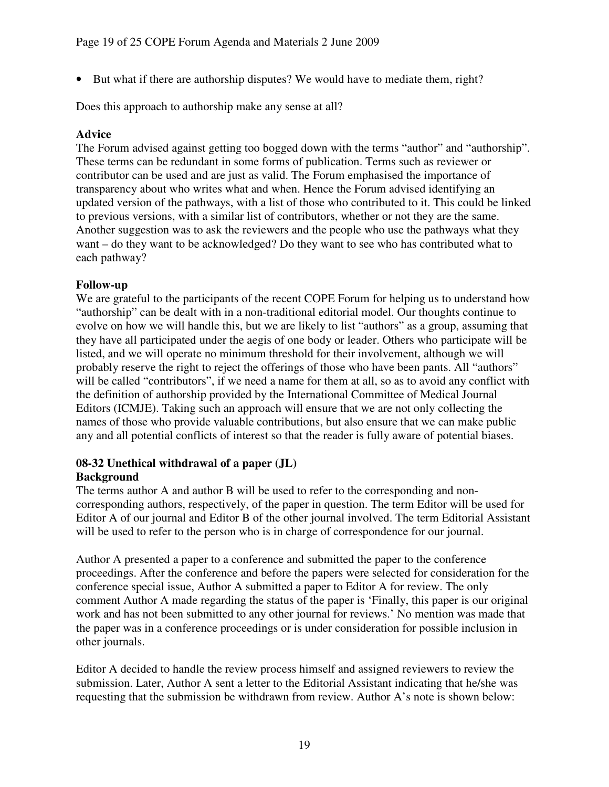• But what if there are authorship disputes? We would have to mediate them, right?

Does this approach to authorship make any sense at all?

## **Advice**

The Forum advised against getting too bogged down with the terms "author" and "authorship". These terms can be redundant in some forms of publication. Terms such as reviewer or contributor can be used and are just as valid. The Forum emphasised the importance of transparency about who writes what and when. Hence the Forum advised identifying an updated version of the pathways, with a list of those who contributed to it. This could be linked to previous versions, with a similar list of contributors, whether or not they are the same. Another suggestion was to ask the reviewers and the people who use the pathways what they want – do they want to be acknowledged? Do they want to see who has contributed what to each pathway?

# **Follow-up**

We are grateful to the participants of the recent COPE Forum for helping us to understand how "authorship" can be dealt with in a non-traditional editorial model. Our thoughts continue to evolve on how we will handle this, but we are likely to list "authors" as a group, assuming that they have all participated under the aegis of one body or leader. Others who participate will be listed, and we will operate no minimum threshold for their involvement, although we will probably reserve the right to reject the offerings of those who have been pants. All "authors" will be called "contributors", if we need a name for them at all, so as to avoid any conflict with the definition of authorship provided by the International Committee of Medical Journal Editors (ICMJE). Taking such an approach will ensure that we are not only collecting the names of those who provide valuable contributions, but also ensure that we can make public any and all potential conflicts of interest so that the reader is fully aware of potential biases.

### **08-32 Unethical withdrawal of a paper (JL) Background**

The terms author A and author B will be used to refer to the corresponding and noncorresponding authors, respectively, of the paper in question. The term Editor will be used for Editor A of our journal and Editor B of the other journal involved. The term Editorial Assistant will be used to refer to the person who is in charge of correspondence for our journal.

Author A presented a paper to a conference and submitted the paper to the conference proceedings. After the conference and before the papers were selected for consideration for the conference special issue, Author A submitted a paper to Editor A for review. The only comment Author A made regarding the status of the paper is 'Finally, this paper is our original work and has not been submitted to any other journal for reviews.' No mention was made that the paper was in a conference proceedings or is under consideration for possible inclusion in other journals.

Editor A decided to handle the review process himself and assigned reviewers to review the submission. Later, Author A sent a letter to the Editorial Assistant indicating that he/she was requesting that the submission be withdrawn from review. Author A's note is shown below: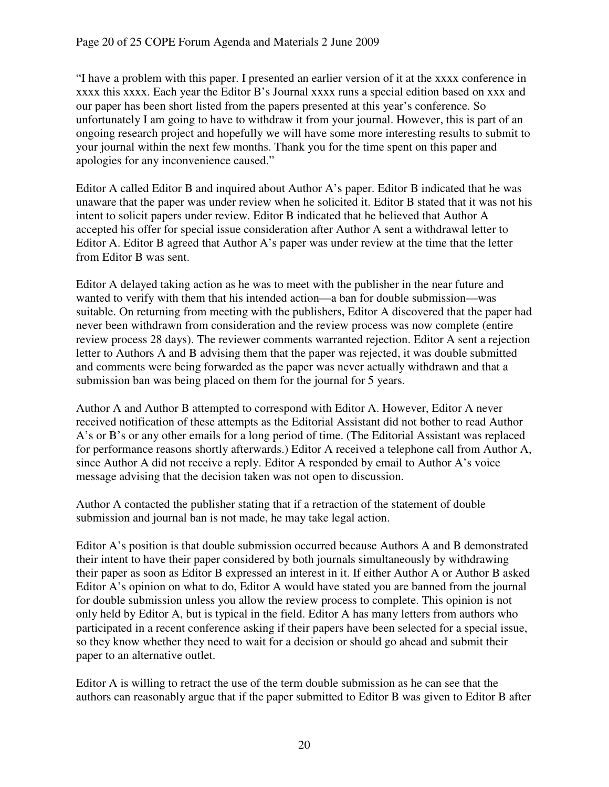"I have a problem with this paper. I presented an earlier version of it at the xxxx conference in xxxx this xxxx. Each year the Editor B's Journal xxxx runs a special edition based on xxx and our paper has been short listed from the papers presented at this year's conference. So unfortunately I am going to have to withdraw it from your journal. However, this is part of an ongoing research project and hopefully we will have some more interesting results to submit to your journal within the next few months. Thank you for the time spent on this paper and apologies for any inconvenience caused."

Editor A called Editor B and inquired about Author A's paper. Editor B indicated that he was unaware that the paper was under review when he solicited it. Editor B stated that it was not his intent to solicit papers under review. Editor B indicated that he believed that Author A accepted his offer for special issue consideration after Author A sent a withdrawal letter to Editor A. Editor B agreed that Author A's paper was under review at the time that the letter from Editor B was sent.

Editor A delayed taking action as he was to meet with the publisher in the near future and wanted to verify with them that his intended action—a ban for double submission—was suitable. On returning from meeting with the publishers, Editor A discovered that the paper had never been withdrawn from consideration and the review process was now complete (entire review process 28 days). The reviewer comments warranted rejection. Editor A sent a rejection letter to Authors A and B advising them that the paper was rejected, it was double submitted and comments were being forwarded as the paper was never actually withdrawn and that a submission ban was being placed on them for the journal for 5 years.

Author A and Author B attempted to correspond with Editor A. However, Editor A never received notification of these attempts as the Editorial Assistant did not bother to read Author A's or B's or any other emails for a long period of time. (The Editorial Assistant was replaced for performance reasons shortly afterwards.) Editor A received a telephone call from Author A, since Author A did not receive a reply. Editor A responded by email to Author A's voice message advising that the decision taken was not open to discussion.

Author A contacted the publisher stating that if a retraction of the statement of double submission and journal ban is not made, he may take legal action.

Editor A's position is that double submission occurred because Authors A and B demonstrated their intent to have their paper considered by both journals simultaneously by withdrawing their paper as soon as Editor B expressed an interest in it. If either Author A or Author B asked Editor A's opinion on what to do, Editor A would have stated you are banned from the journal for double submission unless you allow the review process to complete. This opinion is not only held by Editor A, but is typical in the field. Editor A has many letters from authors who participated in a recent conference asking if their papers have been selected for a special issue, so they know whether they need to wait for a decision or should go ahead and submit their paper to an alternative outlet.

Editor A is willing to retract the use of the term double submission as he can see that the authors can reasonably argue that if the paper submitted to Editor B was given to Editor B after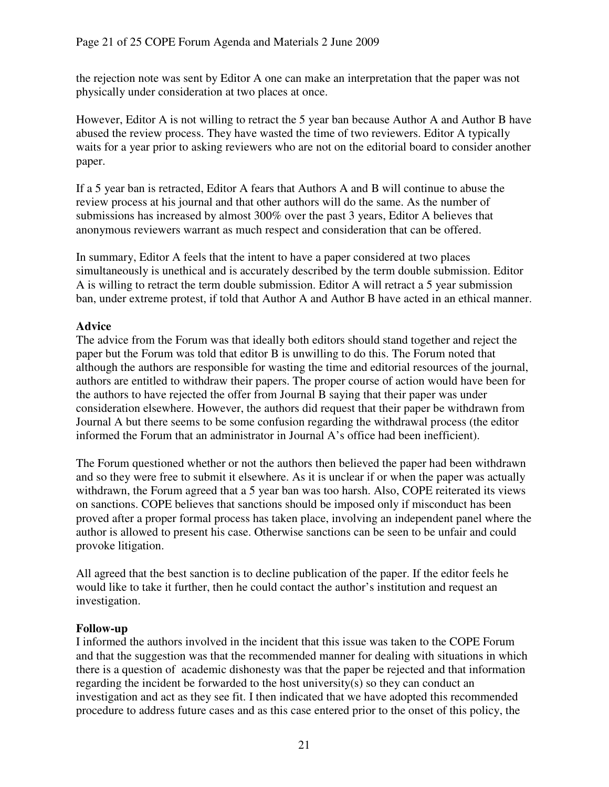the rejection note was sent by Editor A one can make an interpretation that the paper was not physically under consideration at two places at once.

However, Editor A is not willing to retract the 5 year ban because Author A and Author B have abused the review process. They have wasted the time of two reviewers. Editor A typically waits for a year prior to asking reviewers who are not on the editorial board to consider another paper.

If a 5 year ban is retracted, Editor A fears that Authors A and B will continue to abuse the review process at his journal and that other authors will do the same. As the number of submissions has increased by almost 300% over the past 3 years, Editor A believes that anonymous reviewers warrant as much respect and consideration that can be offered.

In summary, Editor A feels that the intent to have a paper considered at two places simultaneously is unethical and is accurately described by the term double submission. Editor A is willing to retract the term double submission. Editor A will retract a 5 year submission ban, under extreme protest, if told that Author A and Author B have acted in an ethical manner.

# **Advice**

The advice from the Forum was that ideally both editors should stand together and reject the paper but the Forum was told that editor B is unwilling to do this. The Forum noted that although the authors are responsible for wasting the time and editorial resources of the journal, authors are entitled to withdraw their papers. The proper course of action would have been for the authors to have rejected the offer from Journal B saying that their paper was under consideration elsewhere. However, the authors did request that their paper be withdrawn from Journal A but there seems to be some confusion regarding the withdrawal process (the editor informed the Forum that an administrator in Journal A's office had been inefficient).

The Forum questioned whether or not the authors then believed the paper had been withdrawn and so they were free to submit it elsewhere. As it is unclear if or when the paper was actually withdrawn, the Forum agreed that a 5 year ban was too harsh. Also, COPE reiterated its views on sanctions. COPE believes that sanctions should be imposed only if misconduct has been proved after a proper formal process has taken place, involving an independent panel where the author is allowed to present his case. Otherwise sanctions can be seen to be unfair and could provoke litigation.

All agreed that the best sanction is to decline publication of the paper. If the editor feels he would like to take it further, then he could contact the author's institution and request an investigation.

### **Follow-up**

I informed the authors involved in the incident that this issue was taken to the COPE Forum and that the suggestion was that the recommended manner for dealing with situations in which there is a question of academic dishonesty was that the paper be rejected and that information regarding the incident be forwarded to the host university(s) so they can conduct an investigation and act as they see fit. I then indicated that we have adopted this recommended procedure to address future cases and as this case entered prior to the onset of this policy, the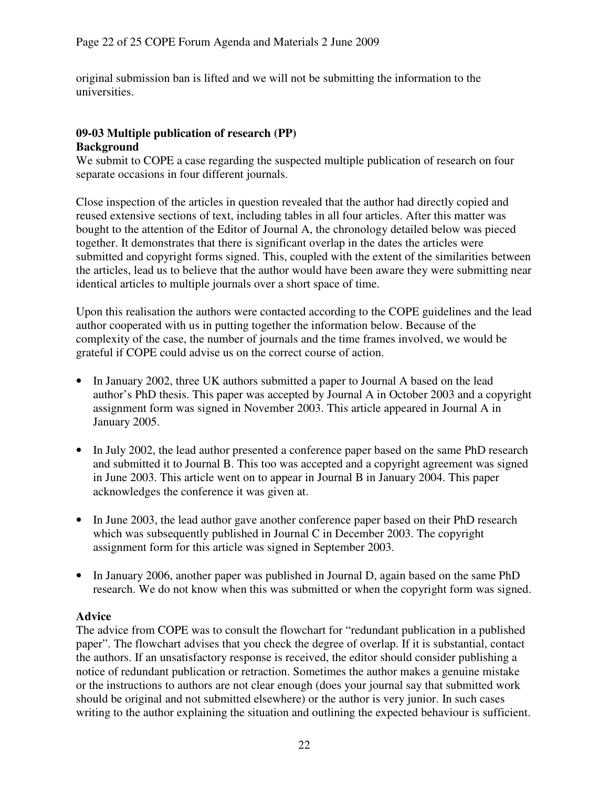original submission ban is lifted and we will not be submitting the information to the universities.

# **09-03 Multiple publication of research (PP) Background**

We submit to COPE a case regarding the suspected multiple publication of research on four separate occasions in four different journals.

Close inspection of the articles in question revealed that the author had directly copied and reused extensive sections of text, including tables in all four articles. After this matter was bought to the attention of the Editor of Journal A, the chronology detailed below was pieced together. It demonstrates that there is significant overlap in the dates the articles were submitted and copyright forms signed. This, coupled with the extent of the similarities between the articles, lead us to believe that the author would have been aware they were submitting near identical articles to multiple journals over a short space of time.

Upon this realisation the authors were contacted according to the COPE guidelines and the lead author cooperated with us in putting together the information below. Because of the complexity of the case, the number of journals and the time frames involved, we would be grateful if COPE could advise us on the correct course of action.

- In January 2002, three UK authors submitted a paper to Journal A based on the lead author's PhD thesis. This paper was accepted by Journal A in October 2003 and a copyright assignment form was signed in November 2003. This article appeared in Journal A in January 2005.
- In July 2002, the lead author presented a conference paper based on the same PhD research and submitted it to Journal B. This too was accepted and a copyright agreement was signed in June 2003. This article went on to appear in Journal B in January 2004. This paper acknowledges the conference it was given at.
- In June 2003, the lead author gave another conference paper based on their PhD research which was subsequently published in Journal C in December 2003. The copyright assignment form for this article was signed in September 2003.
- In January 2006, another paper was published in Journal D, again based on the same PhD research. We do not know when this was submitted or when the copyright form was signed.

### **Advice**

The advice from COPE was to consult the flowchart for "redundant publication in a published paper". The flowchart advises that you check the degree of overlap. If it is substantial, contact the authors. If an unsatisfactory response is received, the editor should consider publishing a notice of redundant publication or retraction. Sometimes the author makes a genuine mistake or the instructions to authors are not clear enough (does your journal say that submitted work should be original and not submitted elsewhere) or the author is very junior. In such cases writing to the author explaining the situation and outlining the expected behaviour is sufficient.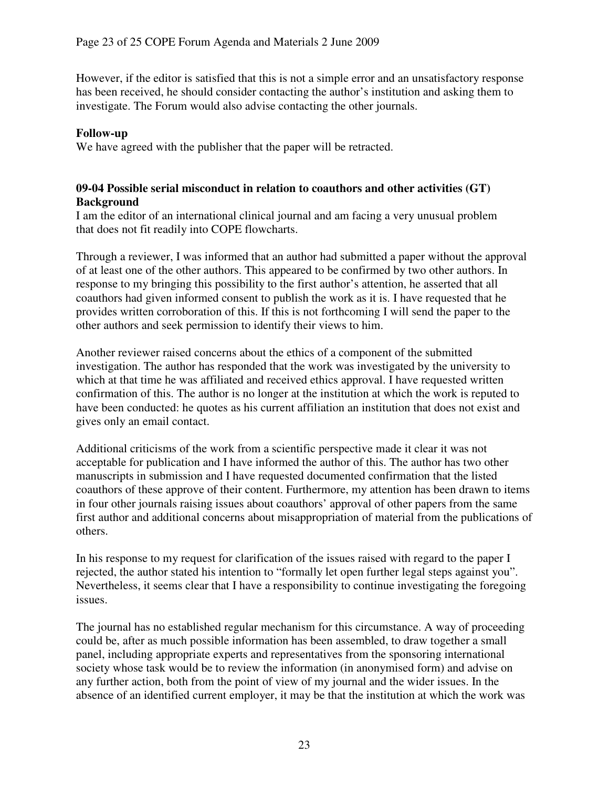However, if the editor is satisfied that this is not a simple error and an unsatisfactory response has been received, he should consider contacting the author's institution and asking them to investigate. The Forum would also advise contacting the other journals.

### **Follow-up**

We have agreed with the publisher that the paper will be retracted.

### **09-04 Possible serial misconduct in relation to coauthors and other activities (GT) Background**

I am the editor of an international clinical journal and am facing a very unusual problem that does not fit readily into COPE flowcharts.

Through a reviewer, I was informed that an author had submitted a paper without the approval of at least one of the other authors. This appeared to be confirmed by two other authors. In response to my bringing this possibility to the first author's attention, he asserted that all coauthors had given informed consent to publish the work as it is. I have requested that he provides written corroboration of this. If this is not forthcoming I will send the paper to the other authors and seek permission to identify their views to him.

Another reviewer raised concerns about the ethics of a component of the submitted investigation. The author has responded that the work was investigated by the university to which at that time he was affiliated and received ethics approval. I have requested written confirmation of this. The author is no longer at the institution at which the work is reputed to have been conducted: he quotes as his current affiliation an institution that does not exist and gives only an email contact.

Additional criticisms of the work from a scientific perspective made it clear it was not acceptable for publication and I have informed the author of this. The author has two other manuscripts in submission and I have requested documented confirmation that the listed coauthors of these approve of their content. Furthermore, my attention has been drawn to items in four other journals raising issues about coauthors' approval of other papers from the same first author and additional concerns about misappropriation of material from the publications of others.

In his response to my request for clarification of the issues raised with regard to the paper I rejected, the author stated his intention to "formally let open further legal steps against you". Nevertheless, it seems clear that I have a responsibility to continue investigating the foregoing issues.

The journal has no established regular mechanism for this circumstance. A way of proceeding could be, after as much possible information has been assembled, to draw together a small panel, including appropriate experts and representatives from the sponsoring international society whose task would be to review the information (in anonymised form) and advise on any further action, both from the point of view of my journal and the wider issues. In the absence of an identified current employer, it may be that the institution at which the work was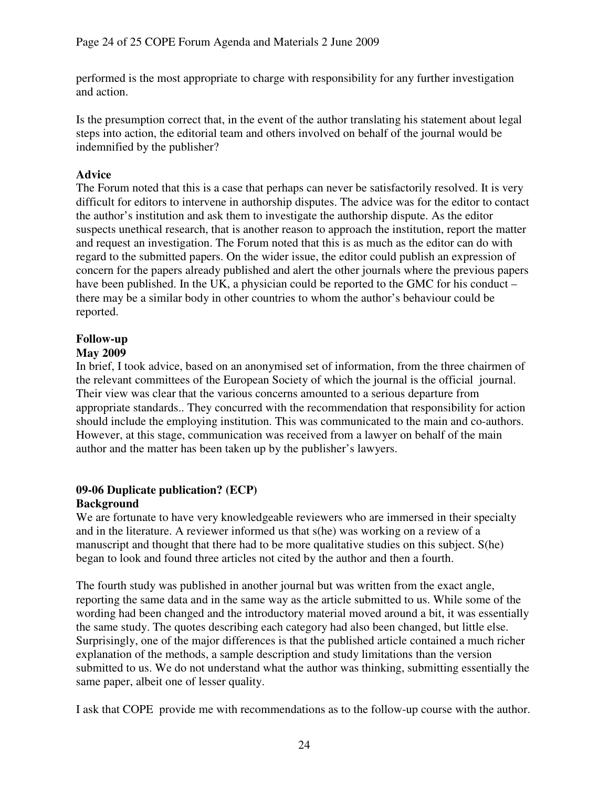performed is the most appropriate to charge with responsibility for any further investigation and action.

Is the presumption correct that, in the event of the author translating his statement about legal steps into action, the editorial team and others involved on behalf of the journal would be indemnified by the publisher?

# **Advice**

The Forum noted that this is a case that perhaps can never be satisfactorily resolved. It is very difficult for editors to intervene in authorship disputes. The advice was for the editor to contact the author's institution and ask them to investigate the authorship dispute. As the editor suspects unethical research, that is another reason to approach the institution, report the matter and request an investigation. The Forum noted that this is as much as the editor can do with regard to the submitted papers. On the wider issue, the editor could publish an expression of concern for the papers already published and alert the other journals where the previous papers have been published. In the UK, a physician could be reported to the GMC for his conduct – there may be a similar body in other countries to whom the author's behaviour could be reported.

# **Follow-up**

# **May 2009**

In brief, I took advice, based on an anonymised set of information, from the three chairmen of the relevant committees of the European Society of which the journal is the official journal. Their view was clear that the various concerns amounted to a serious departure from appropriate standards.. They concurred with the recommendation that responsibility for action should include the employing institution. This was communicated to the main and co-authors. However, at this stage, communication was received from a lawyer on behalf of the main author and the matter has been taken up by the publisher's lawyers.

### **09-06 Duplicate publication? (ECP) Background**

We are fortunate to have very knowledgeable reviewers who are immersed in their specialty and in the literature. A reviewer informed us that s(he) was working on a review of a manuscript and thought that there had to be more qualitative studies on this subject. S(he) began to look and found three articles not cited by the author and then a fourth.

The fourth study was published in another journal but was written from the exact angle, reporting the same data and in the same way as the article submitted to us. While some of the wording had been changed and the introductory material moved around a bit, it was essentially the same study. The quotes describing each category had also been changed, but little else. Surprisingly, one of the major differences is that the published article contained a much richer explanation of the methods, a sample description and study limitations than the version submitted to us. We do not understand what the author was thinking, submitting essentially the same paper, albeit one of lesser quality.

I ask that COPE provide me with recommendations as to the follow-up course with the author.